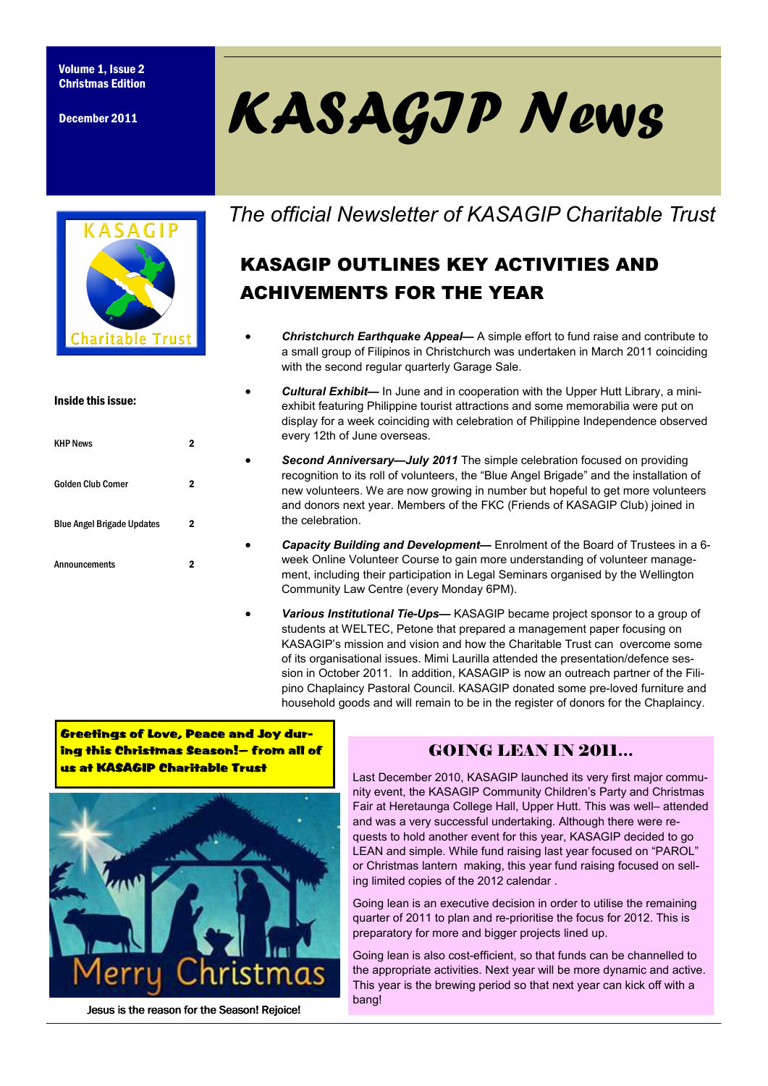December 2011



| Inside this issue:                |   |
|-----------------------------------|---|
| <b>KHP News</b>                   | 2 |
| <b>Golden Club Corner</b>         | 2 |
| <b>Blue Angel Brigade Updates</b> | 2 |
| <b>Announcements</b>              | 2 |

# KASAGIP News

*The official Newsletter of KASAGIP Charitable Trust* 

# KASAGIP OUTLINES KEY ACTIVITIES AND ACHIVEMENTS FOR THE YEAR

- *Christchurch Earthquake Appeal—* A simple effort to fund raise and contribute to a small group of Filipinos in Christchurch was undertaken in March 2011 coinciding with the second regular quarterly Garage Sale.
- *Cultural Exhibit—* In June and in cooperation with the Upper Hutt Library, a miniexhibit featuring Philippine tourist attractions and some memorabilia were put on display for a week coinciding with celebration of Philippine Independence observed every 12th of June overseas.
- *Second Anniversary—July 2011* The simple celebration focused on providing recognition to its roll of volunteers, the "Blue Angel Brigade" and the installation of new volunteers. We are now growing in number but hopeful to get more volunteers and donors next year. Members of the FKC (Friends of KASAGIP Club) joined in the celebration.
- *Capacity Building and Development—* Enrolment of the Board of Trustees in a 6 week Online Volunteer Course to gain more understanding of volunteer management, including their participation in Legal Seminars organised by the Wellington Community Law Centre (every Monday 6PM).
- *Various Institutional Tie-Ups—* KASAGIP became project sponsor to a group of students at WELTEC, Petone that prepared a management paper focusing on KASAGIP's mission and vision and how the Charitable Trust can overcome some of its organisational issues. Mimi Laurilla attended the presentation/defence session in October 2011. In addition, KASAGIP is now an outreach partner of the Filipino Chaplaincy Pastoral Council. KASAGIP donated some pre-loved furniture and household goods and will remain to be in the register of donors for the Chaplaincy.

Greetings of Love, Peace and Joy during this Christmas Season!— from all of us at KASAGIP Charitable Trust



Jesus is the reason for the Season! Rejoice!

## GOING LEAN IN 2011…

Last December 2010, KASAGIP launched its very first major community event, the KASAGIP Community Children's Party and Christmas Fair at Heretaunga College Hall, Upper Hutt. This was well– attended and was a very successful undertaking. Although there were requests to hold another event for this year, KASAGIP decided to go LEAN and simple. While fund raising last year focused on "PAROL" or Christmas lantern making, this year fund raising focused on selling limited copies of the 2012 calendar .

Going lean is an executive decision in order to utilise the remaining quarter of 2011 to plan and re-prioritise the focus for 2012. This is preparatory for more and bigger projects lined up.

Going lean is also cost-efficient, so that funds can be channelled to the appropriate activities. Next year will be more dynamic and active. This year is the brewing period so that next year can kick off with a bang!